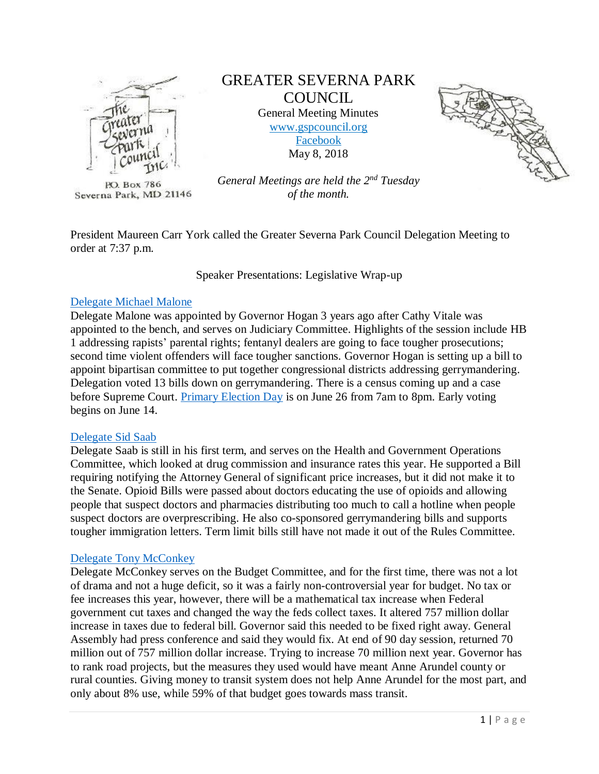

P.O. Box 786 Severna Park, MD 21146

# GREATER SEVERNA PARK **COUNCIL** General Meeting Minutes

[www.gspcouncil.org](http://www.gspcouncil.org/) [Facebook](https://www.facebook.com/severnaparkcouncil/) May 8, 2018



*General Meetings are held the 2nd Tuesday of the month.*

President Maureen Carr York called the Greater Severna Park Council Delegation Meeting to order at 7:37 p.m.

Speaker Presentations: Legislative Wrap-up

## [Delegate Michael Malone](http://malonefordelegate.com/)

Delegate Malone was appointed by Governor Hogan 3 years ago after Cathy Vitale was appointed to the bench, and serves on Judiciary Committee. Highlights of the session include HB 1 addressing rapists' parental rights; fentanyl dealers are going to face tougher prosecutions; second time violent offenders will face tougher sanctions. Governor Hogan is setting up a bill to appoint bipartisan committee to put together congressional districts addressing gerrymandering. Delegation voted 13 bills down on gerrymandering. There is a census coming up and a case before Supreme Court. [Primary Election Day](http://www.aacounty.org/boards-and-commissions/board-of-elections/) is on June 26 from 7am to 8pm. Early voting begins on June 14.

### [Delegate Sid Saab](https://www.saabfordelegate.com/)

Delegate Saab is still in his first term, and serves on the Health and Government Operations Committee, which looked at drug commission and insurance rates this year. He supported a Bill requiring notifying the Attorney General of significant price increases, but it did not make it to the Senate. Opioid Bills were passed about doctors educating the use of opioids and allowing people that suspect doctors and pharmacies distributing too much to call a hotline when people suspect doctors are overprescribing. He also co-sponsored gerrymandering bills and supports tougher immigration letters. Term limit bills still have not made it out of the Rules Committee.

### [Delegate Tony McConkey](http://www.leg33.com/)

Delegate McConkey serves on the Budget Committee, and for the first time, there was not a lot of drama and not a huge deficit, so it was a fairly non-controversial year for budget. No tax or fee increases this year, however, there will be a mathematical tax increase when Federal government cut taxes and changed the way the feds collect taxes. It altered 757 million dollar increase in taxes due to federal bill. Governor said this needed to be fixed right away. General Assembly had press conference and said they would fix. At end of 90 day session, returned 70 million out of 757 million dollar increase. Trying to increase 70 million next year. Governor has to rank road projects, but the measures they used would have meant Anne Arundel county or rural counties. Giving money to transit system does not help Anne Arundel for the most part, and only about 8% use, while 59% of that budget goes towards mass transit.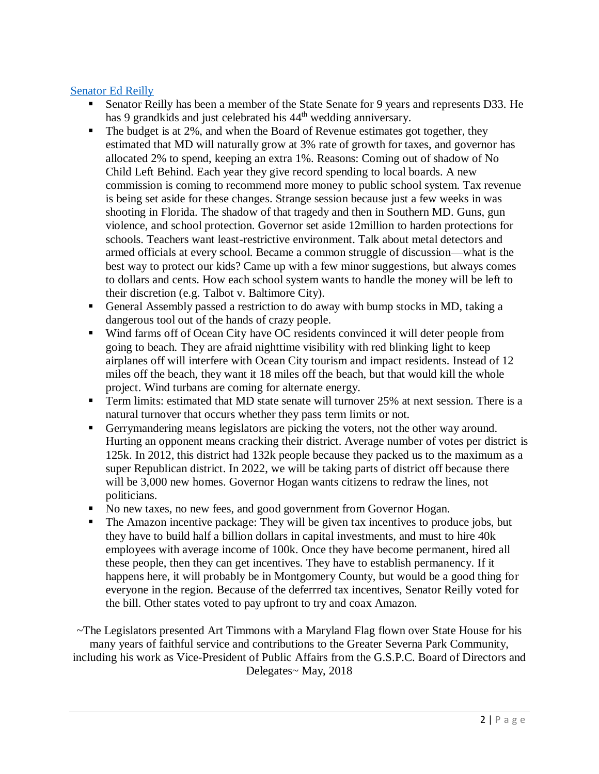# [Senator Ed Reilly](https://msa.maryland.gov/msa/mdmanual/05sen/html/msa14493.html)

- Senator Reilly has been a member of the State Senate for 9 years and represents D33. He has 9 grandkids and just celebrated his 44<sup>th</sup> wedding anniversary.
- $\blacksquare$  The budget is at 2%, and when the Board of Revenue estimates got together, they estimated that MD will naturally grow at 3% rate of growth for taxes, and governor has allocated 2% to spend, keeping an extra 1%. Reasons: Coming out of shadow of No Child Left Behind. Each year they give record spending to local boards. A new commission is coming to recommend more money to public school system. Tax revenue is being set aside for these changes. Strange session because just a few weeks in was shooting in Florida. The shadow of that tragedy and then in Southern MD. Guns, gun violence, and school protection. Governor set aside 12million to harden protections for schools. Teachers want least-restrictive environment. Talk about metal detectors and armed officials at every school. Became a common struggle of discussion—what is the best way to protect our kids? Came up with a few minor suggestions, but always comes to dollars and cents. How each school system wants to handle the money will be left to their discretion (e.g. Talbot v. Baltimore City).
- General Assembly passed a restriction to do away with bump stocks in MD, taking a dangerous tool out of the hands of crazy people.
- Wind farms off of Ocean City have OC residents convinced it will deter people from going to beach. They are afraid nighttime visibility with red blinking light to keep airplanes off will interfere with Ocean City tourism and impact residents. Instead of 12 miles off the beach, they want it 18 miles off the beach, but that would kill the whole project. Wind turbans are coming for alternate energy.
- **Term limits: estimated that MD state senate will turnover 25% at next session. There is a** natural turnover that occurs whether they pass term limits or not.
- Gerrymandering means legislators are picking the voters, not the other way around. Hurting an opponent means cracking their district. Average number of votes per district is 125k. In 2012, this district had 132k people because they packed us to the maximum as a super Republican district. In 2022, we will be taking parts of district off because there will be 3,000 new homes. Governor Hogan wants citizens to redraw the lines, not politicians.
- No new taxes, no new fees, and good government from Governor Hogan.
- The Amazon incentive package: They will be given tax incentives to produce jobs, but they have to build half a billion dollars in capital investments, and must to hire 40k employees with average income of 100k. Once they have become permanent, hired all these people, then they can get incentives. They have to establish permanency. If it happens here, it will probably be in Montgomery County, but would be a good thing for everyone in the region. Because of the deferrred tax incentives, Senator Reilly voted for the bill. Other states voted to pay upfront to try and coax Amazon.

~The Legislators presented Art Timmons with a Maryland Flag flown over State House for his many years of faithful service and contributions to the Greater Severna Park Community, including his work as Vice-President of Public Affairs from the G.S.P.C. Board of Directors and Delegates~ May, 2018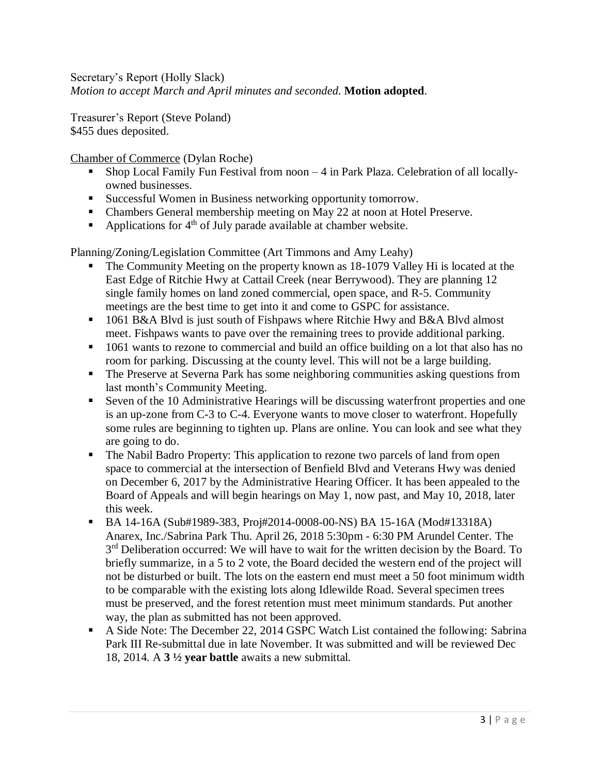Secretary's Report (Holly Slack) *Motion to accept March and April minutes and seconded.* **Motion adopted**.

Treasurer's Report (Steve Poland) \$455 dues deposited.

[Chamber of Commerce](https://severnaparkchamber.com/) (Dylan Roche)

- Shop Local Family Fun Festival from  $noon 4$  in Park Plaza. Celebration of all locallyowned businesses.
- Successful Women in Business networking opportunity tomorrow.
- Chambers General membership meeting on May 22 at noon at Hotel Preserve.
- **•** Applications for  $4<sup>th</sup>$  of July parade available at chamber website.

Planning/Zoning/Legislation Committee (Art Timmons and Amy Leahy)

- The Community Meeting on the property known as 18-1079 Valley Hi is located at the East Edge of Ritchie Hwy at Cattail Creek (near Berrywood). They are planning 12 single family homes on land zoned commercial, open space, and R-5. Community meetings are the best time to get into it and come to GSPC for assistance.
- 1061 B&A Blvd is just south of Fishpaws where Ritchie Hwy and B&A Blvd almost meet. Fishpaws wants to pave over the remaining trees to provide additional parking.
- 1061 wants to rezone to commercial and build an office building on a lot that also has no room for parking. Discussing at the county level. This will not be a large building.
- The Preserve at Severna Park has some neighboring communities asking questions from last month's Community Meeting.
- Seven of the 10 Administrative Hearings will be discussing waterfront properties and one is an up-zone from C-3 to C-4. Everyone wants to move closer to waterfront. Hopefully some rules are beginning to tighten up. Plans are online. You can look and see what they are going to do.
- The Nabil Badro Property: This application to rezone two parcels of land from open space to commercial at the intersection of Benfield Blvd and Veterans Hwy was denied on December 6, 2017 by the Administrative Hearing Officer. It has been appealed to the Board of Appeals and will begin hearings on May 1, now past, and May 10, 2018, later this week.
- BA 14-16A (Sub#1989-383, Proj#2014-0008-00-NS) BA 15-16A (Mod#13318A) Anarex, Inc./Sabrina Park Thu. April 26, 2018 5:30pm - 6:30 PM Arundel Center. The 3<sup>rd</sup> Deliberation occurred: We will have to wait for the written decision by the Board. To briefly summarize, in a 5 to 2 vote, the Board decided the western end of the project will not be disturbed or built. The lots on the eastern end must meet a 50 foot minimum width to be comparable with the existing lots along Idlewilde Road. Several specimen trees must be preserved, and the forest retention must meet minimum standards. Put another way, the plan as submitted has not been approved.
- A Side Note: The December 22, 2014 GSPC Watch List contained the following: Sabrina Park III Re-submittal due in late November. It was submitted and will be reviewed Dec 18, 2014. A **3 ½ year battle** awaits a new submittal.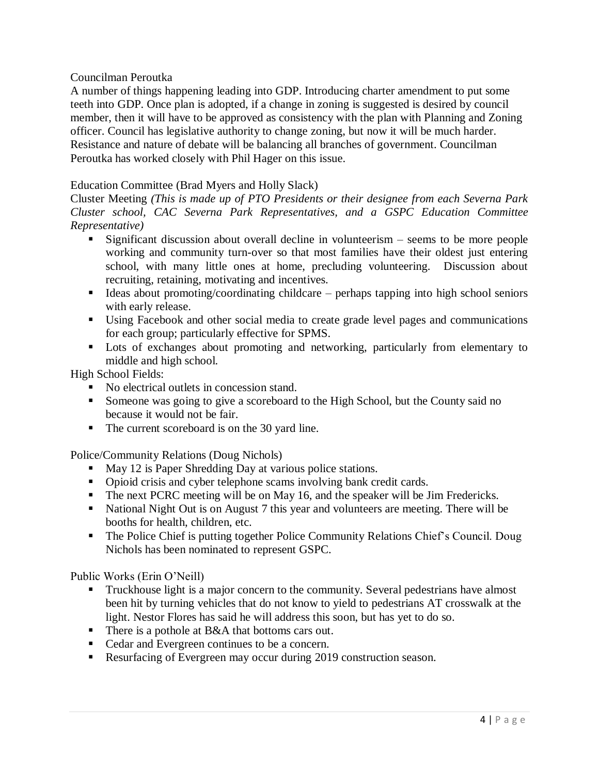### Councilman Peroutka

A number of things happening leading into GDP. Introducing charter amendment to put some teeth into GDP. Once plan is adopted, if a change in zoning is suggested is desired by council member, then it will have to be approved as consistency with the plan with Planning and Zoning officer. Council has legislative authority to change zoning, but now it will be much harder. Resistance and nature of debate will be balancing all branches of government. Councilman Peroutka has worked closely with Phil Hager on this issue.

## Education Committee (Brad Myers and Holly Slack)

Cluster Meeting *(This is made up of PTO Presidents or their designee from each Severna Park Cluster school, CAC Severna Park Representatives, and a GSPC Education Committee Representative)*

- Significant discussion about overall decline in volunteerism seems to be more people working and community turn-over so that most families have their oldest just entering school, with many little ones at home, precluding volunteering. Discussion about recruiting, retaining, motivating and incentives.
- Ideas about promoting/coordinating childcare perhaps tapping into high school seniors with early release.
- Using Facebook and other social media to create grade level pages and communications for each group; particularly effective for SPMS.
- Lots of exchanges about promoting and networking, particularly from elementary to middle and high school.

High School Fields:

- No electrical outlets in concession stand.
- Someone was going to give a scoreboard to the High School, but the County said no because it would not be fair.
- The current scoreboard is on the 30 yard line.

Police/Community Relations (Doug Nichols)

- May 12 is Paper Shredding Day at various police stations.
- Opioid crisis and cyber telephone scams involving bank credit cards.
- The next PCRC meeting will be on May 16, and the speaker will be Jim Fredericks.
- National Night Out is on August 7 this year and volunteers are meeting. There will be booths for health, children, etc.
- The Police Chief is putting together Police Community Relations Chief's Council. Doug Nichols has been nominated to represent GSPC.

Public Works (Erin O'Neill)

- **•** Truckhouse light is a major concern to the community. Several pedestrians have almost been hit by turning vehicles that do not know to yield to pedestrians AT crosswalk at the light. Nestor Flores has said he will address this soon, but has yet to do so.
- There is a pothole at B&A that bottoms cars out.
- Cedar and Evergreen continues to be a concern.
- Resurfacing of Evergreen may occur during 2019 construction season.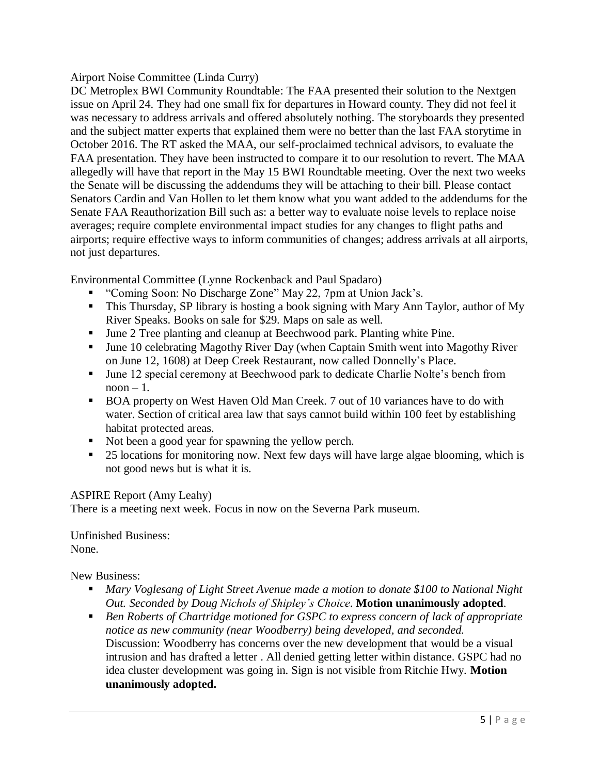## Airport Noise Committee (Linda Curry)

DC Metroplex BWI Community Roundtable: The FAA presented their solution to the Nextgen issue on April 24. They had one small fix for departures in Howard county. They did not feel it was necessary to address arrivals and offered absolutely nothing. The storyboards they presented and the subject matter experts that explained them were no better than the last FAA storytime in October 2016. The RT asked the MAA, our self-proclaimed technical advisors, to evaluate the FAA presentation. They have been instructed to compare it to our resolution to revert. The MAA allegedly will have that report in the May 15 BWI Roundtable meeting. Over the next two weeks the Senate will be discussing the addendums they will be attaching to their bill. Please contact Senators Cardin and Van Hollen to let them know what you want added to the addendums for the Senate FAA Reauthorization Bill such as: a better way to evaluate noise levels to replace noise averages; require complete environmental impact studies for any changes to flight paths and airports; require effective ways to inform communities of changes; address arrivals at all airports, not just departures.

Environmental Committee (Lynne Rockenback and Paul Spadaro)

- "Coming Soon: No Discharge Zone" May 22, 7pm at Union Jack's.
- **This Thursday, SP library is hosting a book signing with Mary Ann Taylor, author of My** River Speaks. Books on sale for \$29. Maps on sale as well.
- June 2 Tree planting and cleanup at Beechwood park. Planting white Pine.
- June 10 celebrating Magothy River Day (when Captain Smith went into Magothy River on June 12, 1608) at Deep Creek Restaurant, now called Donnelly's Place.
- June 12 special ceremony at Beechwood park to dedicate Charlie Nolte's bench from  $noon - 1$ .
- BOA property on West Haven Old Man Creek. 7 out of 10 variances have to do with water. Section of critical area law that says cannot build within 100 feet by establishing habitat protected areas.
- Not been a good year for spawning the yellow perch.
- 25 locations for monitoring now. Next few days will have large algae blooming, which is not good news but is what it is.

# ASPIRE Report (Amy Leahy)

There is a meeting next week. Focus in now on the Severna Park museum.

Unfinished Business: None.

New Business:

- *Mary Voglesang of Light Street Avenue made a motion to donate \$100 to National Night Out. Seconded by Doug Nichols of Shipley's Choice*. **Motion unanimously adopted**.
- *Ben Roberts of Chartridge motioned for GSPC to express concern of lack of appropriate notice as new community (near Woodberry) being developed, and seconded.*  Discussion: Woodberry has concerns over the new development that would be a visual intrusion and has drafted a letter . All denied getting letter within distance. GSPC had no idea cluster development was going in. Sign is not visible from Ritchie Hwy. **Motion unanimously adopted.**